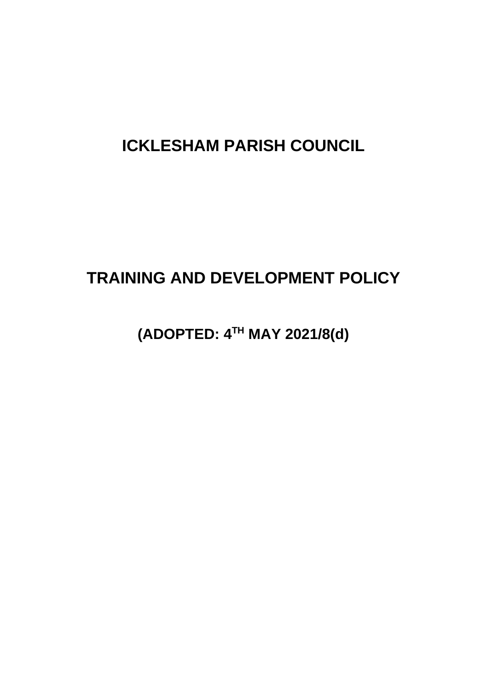# **ICKLESHAM PARISH COUNCIL**

# **TRAINING AND DEVELOPMENT POLICY**

**(ADOPTED: 4TH MAY 2021/8(d)**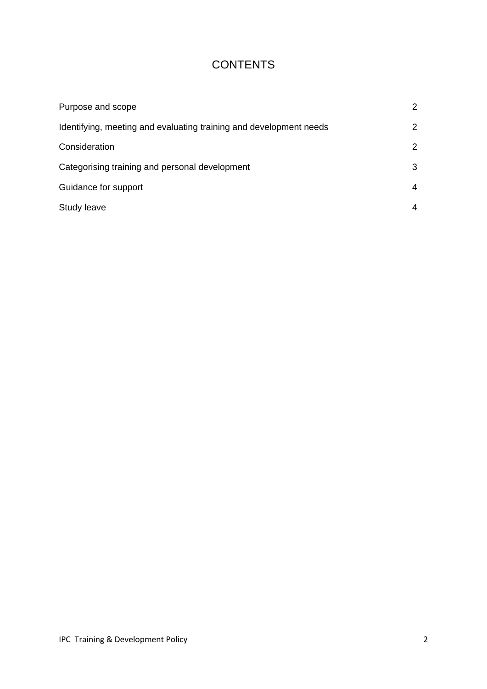# **CONTENTS**

| Purpose and scope                                                  | 2 |
|--------------------------------------------------------------------|---|
| Identifying, meeting and evaluating training and development needs | 2 |
| Consideration                                                      | 2 |
| Categorising training and personal development                     | 3 |
| Guidance for support                                               | 4 |
| Study leave                                                        | 4 |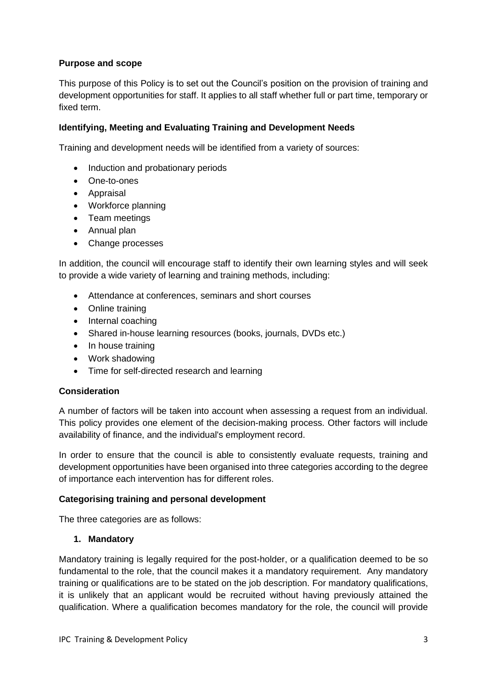# **Purpose and scope**

This purpose of this Policy is to set out the Council's position on the provision of training and development opportunities for staff. It applies to all staff whether full or part time, temporary or fixed term.

# **Identifying, Meeting and Evaluating Training and Development Needs**

Training and development needs will be identified from a variety of sources:

- Induction and probationary periods
- One-to-ones
- Appraisal
- Workforce planning
- Team meetings
- Annual plan
- Change processes

In addition, the council will encourage staff to identify their own learning styles and will seek to provide a wide variety of learning and training methods, including:

- Attendance at conferences, seminars and short courses
- Online training
- Internal coaching
- Shared in-house learning resources (books, journals, DVDs etc.)
- In house training
- Work shadowing
- Time for self-directed research and learning

### **Consideration**

A number of factors will be taken into account when assessing a request from an individual. This policy provides one element of the decision-making process. Other factors will include availability of finance, and the individual's employment record.

In order to ensure that the council is able to consistently evaluate requests, training and development opportunities have been organised into three categories according to the degree of importance each intervention has for different roles.

### **Categorising training and personal development**

The three categories are as follows:

### **1. Mandatory**

Mandatory training is legally required for the post-holder, or a qualification deemed to be so fundamental to the role, that the council makes it a mandatory requirement. Any mandatory training or qualifications are to be stated on the job description. For mandatory qualifications, it is unlikely that an applicant would be recruited without having previously attained the qualification. Where a qualification becomes mandatory for the role, the council will provide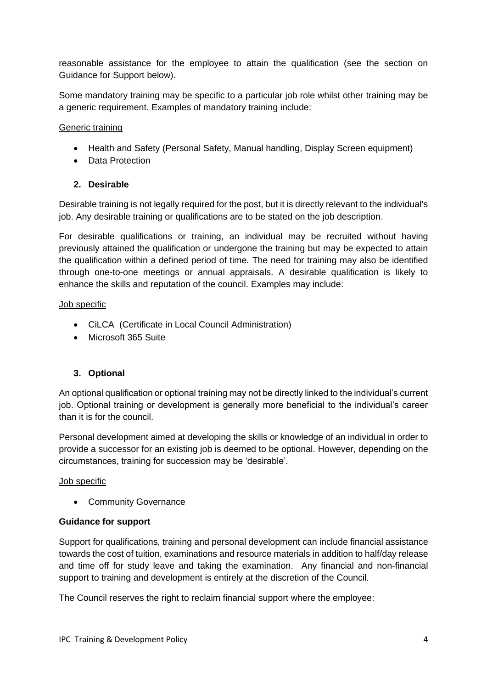reasonable assistance for the employee to attain the qualification (see the section on Guidance for Support below).

Some mandatory training may be specific to a particular job role whilst other training may be a generic requirement. Examples of mandatory training include:

# Generic training

- Health and Safety (Personal Safety, Manual handling, Display Screen equipment)
- Data Protection

# **2. Desirable**

Desirable training is not legally required for the post, but it is directly relevant to the individual's job. Any desirable training or qualifications are to be stated on the job description.

For desirable qualifications or training, an individual may be recruited without having previously attained the qualification or undergone the training but may be expected to attain the qualification within a defined period of time. The need for training may also be identified through one-to-one meetings or annual appraisals. A desirable qualification is likely to enhance the skills and reputation of the council. Examples may include:

### Job specific

- CiLCA (Certificate in Local Council Administration)
- Microsoft 365 Suite

### **3. Optional**

An optional qualification or optional training may not be directly linked to the individual's current job. Optional training or development is generally more beneficial to the individual's career than it is for the council.

Personal development aimed at developing the skills or knowledge of an individual in order to provide a successor for an existing job is deemed to be optional. However, depending on the circumstances, training for succession may be 'desirable'.

### Job specific

• Community Governance

### **Guidance for support**

Support for qualifications, training and personal development can include financial assistance towards the cost of tuition, examinations and resource materials in addition to half/day release and time off for study leave and taking the examination. Any financial and non-financial support to training and development is entirely at the discretion of the Council.

The Council reserves the right to reclaim financial support where the employee: